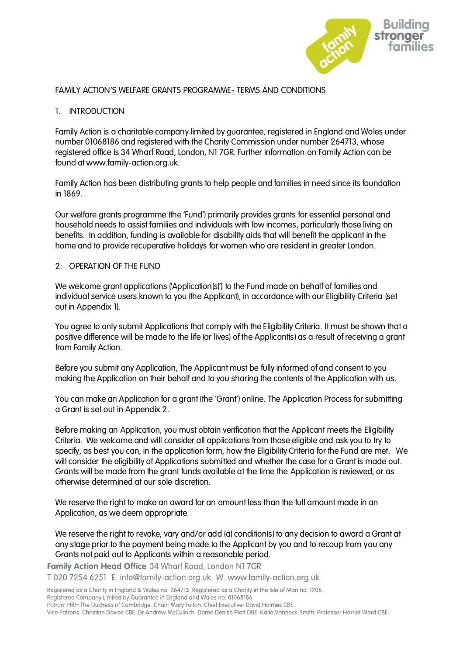

# FAMILY ACTION'S WELFARE GRANTS PROGRAMME- TERMS AND CONDITIONS

# 1. INTRODUCTION

Family Action is a charitable company limited by guarantee, registered in England and Wales under number 01068186 and registered with the Charity Commission under number 264713, whose registered office is 34 Wharf Road, London, N1 7GR. Further information on Family Action can be found at www.family-action.org.uk.

Family Action has been distributing grants to help people and families in need since its foundation in 1869.

Our welfare grants programme (the 'Fund') primarily provides grants for essential personal and household needs to assist families and individuals with low incomes, particularly those living on benefits. In addition, funding is available for disability aids that will benefit the applicant in the home and to provide recuperative holidays for women who are resident in greater London.

# 2. OPERATION OF THE FUND

We welcome grant applications ('Application(s)') to the Fund made on behalf of families and individual service users known to you (the Applicant), in accordance with our Eligibility Criteria (set out in Appendix 1).

You agree to only submit Applications that comply with the Eligibility Criteria. It must be shown that a positive difference will be made to the life (or lives) of the Applicant(s) as a result of receiving a grant from Family Action.

Before you submit any Application, The Applicant must be fully informed of and consent to you making the Application on their behalf and to you sharing the contents of the Application with us.

You can make an Application for a grant (the 'Grant') online. The Application Process for submitting a Grant is set out in Appendix 2.

Before making an Application, you must obtain verification that the Applicant meets the Eligibility Criteria. We welcome and will consider all applications from those eligible and ask you to try to specify, as best you can, in the application form, how the Eligibility Criteria for the Fund are met. We will consider the eligibility of Applications submitted and whether the case for a Grant is made out. Grants will be made from the grant funds available at the time the Application is reviewed, or as otherwise determined at our sole discretion.

We reserve the right to make an award for an amount less than the full amount made in an Application, as we deem appropriate.

We reserve the right to revoke, vary and/or add (a) condition(s) to any decision to award a Grant at any stage prior to the payment being made to the Applicant by you and to recoup from you any Grants not paid out to Applicants within a reasonable period.

Family Action Head Office 34 Wharf Road, London N1 7GR

T: 020 7254 6251 E: info@family-action.org.uk W: www.family-action.org.uk

Registered as a Charity in England & Wales no: 264713. Registered as a Charity in the Isle of Man no: 1206.

Registered Company Limited by Guarantee in England and Wales no: 01068186.

Patron: HRH The Duchess of Cambridge. Chair: Mary Fulton. Chief Executive: David Holmes CBE.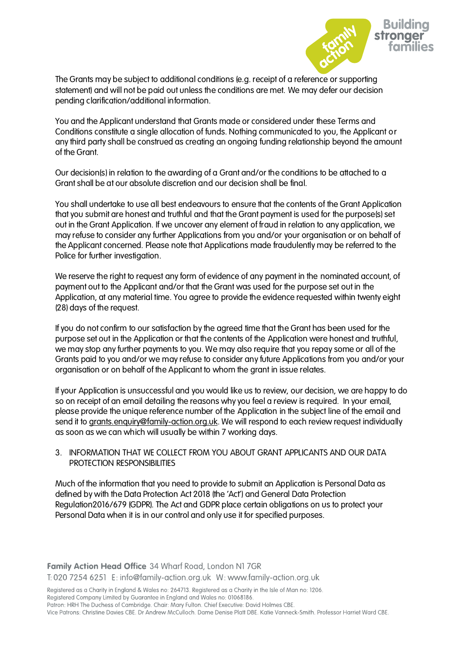

The Grants may be subject to additional conditions (e.g. receipt of a reference or supporting statement) and will not be paid out unless the conditions are met. We may defer our decision pending clarification/additional information.

You and the Applicant understand that Grants made or considered under these Terms and Conditions constitute a single allocation of funds. Nothing communicated to you, the Applicant or any third party shall be construed as creating an ongoing funding relationship beyond the amount of the Grant.

Our decision(s) in relation to the awarding of a Grant and/or the conditions to be attached to a Grant shall be at our absolute discretion and our decision shall be final.

You shall undertake to use all best endeavours to ensure that the contents of the Grant Application that you submit are honest and truthful and that the Grant payment is used for the purpose(s) set out in the Grant Application. If we uncover any element of fraud in relation to any application, we may refuse to consider any further Applications from you and/or your organisation or on behalf of the Applicant concerned. Please note that Applications made fraudulently may be referred to the Police for further investigation.

We reserve the right to request any form of evidence of any payment in the nominated account, of payment out to the Applicant and/or that the Grant was used for the purpose set out in the Application, at any material time. You agree to provide the evidence requested within twenty eight (28) days of the request.

If you do not confirm to our satisfaction by the agreed time that the Grant has been used for the purpose set out in the Application or that the contents of the Application were honest and truthful, we may stop any further payments to you. We may also require that you repay some or all of the Grants paid to you and/or we may refuse to consider any future Applications from you and/or your organisation or on behalf of the Applicant to whom the grant in issue relates.

If your Application is unsuccessful and you would like us to review, our decision, we are happy to do so on receipt of an email detailing the reasons why you feel a review is required. In your email, please provide the unique reference number of the Application in the subject line of the email and send it to [grants.enquiry@family-action.org.uk.](mailto:grants.enquiry@family-action.org.uk) We will respond to each review request individually as soon as we can which will usually be within 7 working days.

# 3. INFORMATION THAT WE COLLECT FROM YOU ABOUT GRANT APPLICANTS AND OUR DATA PROTECTION RESPONSIBILITIES

Much of the information that you need to provide to submit an Application is Personal Data as defined by with the Data Protection Act 2018 (the 'Act') and General Data Protection Regulation2016/679 (GDPR). The Act and GDPR place certain obligations on us to protect your Personal Data when it is in our control and only use it for specified purposes.

Family Action Head Office 34 Wharf Road, London N1 7GR T: 020 7254 6251 E: info@family-action.org.uk W: www.family-action.org.uk

Registered as a Charity in England & Wales no: 264713. Registered as a Charity in the Isle of Man no: 1206. Registered Company Limited by Guarantee in England and Wales no: 01068186.

Patron: HRH The Duchess of Cambridge. Chair: Mary Fulton. Chief Executive: David Holmes CBE.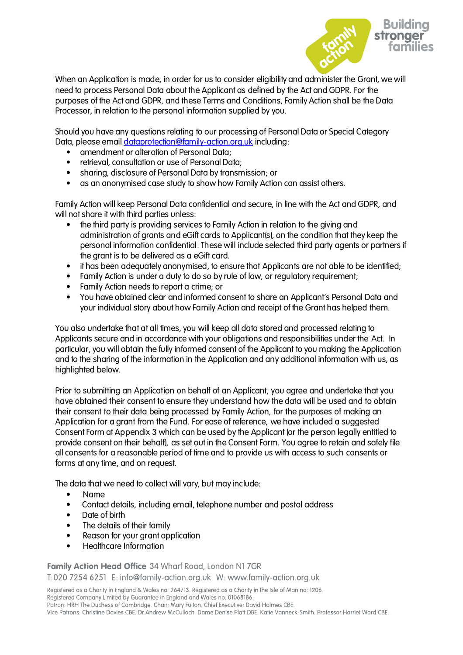

When an Application is made, in order for us to consider eligibility and administer the Grant, we will need to process Personal Data about the Applicant as defined by the Act and GDPR. For the purposes of the Act and GDPR, and these Terms and Conditions, Family Action shall be the Data Processor, in relation to the personal information supplied by you.

Should you have any questions relating to our processing of Personal Data or Special Category Data, please email [dataprotection@family-action.org.uk](mailto:dataprotection@family-action.org.uk) including:

- amendment or alteration of Personal Data;
- retrieval, consultation or use of Personal Data;
- sharing, disclosure of Personal Data by transmission; or
- as an anonymised case study to show how Family Action can assist others.

Family Action will keep Personal Data confidential and secure, in line with the Act and GDPR, and will not share it with third parties unless:

- the third party is providing services to Family Action in relation to the giving and administration of grants and eGift cards to Applicant(s), on the condition that they keep the personal information confidential. These will include selected third party agents or partners if the grant is to be delivered as a eGift card.
- it has been adequately anonymised, to ensure that Applicants are not able to be identified;
- Family Action is under a duty to do so by rule of law, or regulatory requirement;
- Family Action needs to report a crime; or
- You have obtained clear and informed consent to share an Applicant's Personal Data and your individual story about how Family Action and receipt of the Grant has helped them.

You also undertake that at all times, you will keep all data stored and processed relating to Applicants secure and in accordance with your obligations and responsibilities under the Act. In particular, you will obtain the fully informed consent of the Applicant to you making the Application and to the sharing of the information in the Application and any additional information with us, as highlighted below.

Prior to submitting an Application on behalf of an Applicant, you agree and undertake that you have obtained their consent to ensure they understand how the data will be used and to obtain their consent to their data being processed by Family Action, for the purposes of making an Application for a grant from the Fund. For ease of reference, we have included a suggested Consent Form at Appendix 3 which can be used by the Applicant (or the person legally entitled to provide consent on their behalf), as set out in the Consent Form. You agree to retain and safely file all consents for a reasonable period of time and to provide us with access to such consents or forms at any time, and on request.

The data that we need to collect will vary, but may include:

- Name
- Contact details, including email, telephone number and postal address
- Date of birth
- The details of their family
- Reason for your arant application
- Healthcare Information

Family Action Head Office 34 Wharf Road, London N1 7GR T: 020 7254 6251 E: info@family-action.org.uk W: www.family-action.org.uk

Registered as a Charity in England & Wales no: 264713. Registered as a Charity in the Isle of Man no: 1206. Registered Company Limited by Guarantee in England and Wales no: 01068186.

Patron: HRH The Duchess of Cambridge. Chair: Mary Fulton. Chief Executive: David Holmes CBE.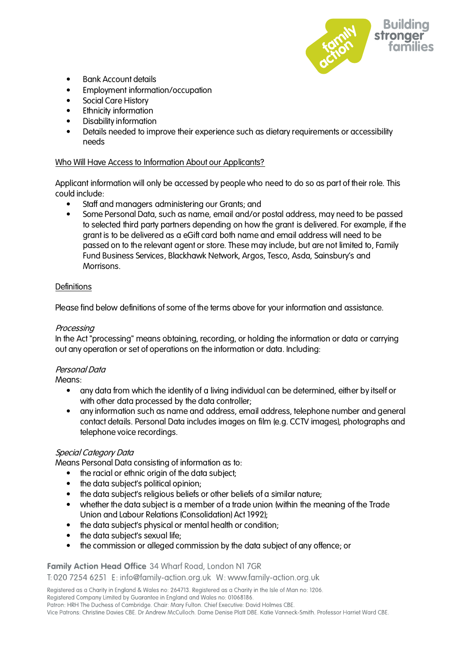

- Bank Account details
- Employment information/occupation
- Social Care History
- Ethnicity information
- Disability information
- Details needed to improve their experience such as dietary requirements or accessibility needs

# Who Will Have Access to Information About our Applicants?

Applicant information will only be accessed by people who need to do so as part of their role. This could include:

- Staff and managers administering our Grants; and
- Some Personal Data, such as name, email and/or postal address, may need to be passed to selected third party partners depending on how the grant is delivered. For example, if the grant is to be delivered as a eGift card both name and email address will need to be passed on to the relevant agent or store. These may include, but are not limited to, Family Fund Business Services, Blackhawk Network, Argos, Tesco, Asda, Sainsbury's and Morrisons.

# **Definitions**

Please find below definitions of some of the terms above for your information and assistance.

# Processing

In the Act "processing" means obtaining, recording, or holding the information or data or carrying out any operation or set of operations on the information or data. Including:

# Personal Data

Means:

- any data from which the identity of a living individual can be determined, either by itself or with other data processed by the data controller;
- any information such as name and address, email address, telephone number and general contact details. Personal Data includes images on film (e.g. CCTV images), photographs and telephone voice recordings.

# Special Category Data

Means Personal Data consisting of information as to:

- the racial or ethnic origin of the data subject:
- the data subject's political opinion;
- the data subject's religious beliefs or other beliefs of a similar nature;
- whether the data subject is a member of a trade union (within the meaning of the Trade Union and Labour Relations (Consolidation) Act 1992);
- the data subject's physical or mental health or condition;
- the data subject's sexual life;
- the commission or alleged commission by the data subject of any offence; or

#### Family Action Head Office 34 Wharf Road, London N1 7GR

T: 020 7254 6251 E: info@family-action.org.uk W: www.family-action.org.uk

Registered as a Charity in England & Wales no: 264713. Registered as a Charity in the Isle of Man no: 1206.

Registered Company Limited by Guarantee in England and Wales no: 01068186.

Patron: HRH The Duchess of Cambridge. Chair: Mary Fulton. Chief Executive: David Holmes CBE.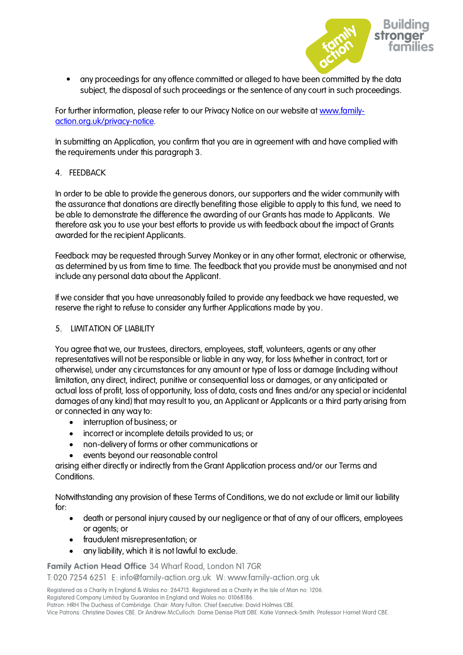

• any proceedings for any offence committed or alleged to have been committed by the data subject, the disposal of such proceedings or the sentence of any court in such proceedings.

For further information, please refer to our Privacy Notice on our website at [www.family](http://www.family-action.org.uk/privacy-notice)[action.org.uk/privacy-notice.](http://www.family-action.org.uk/privacy-notice)

In submitting an Application, you confirm that you are in agreement with and have complied with the requirements under this paragraph 3.

# 4. FEEDBACK

In order to be able to provide the generous donors, our supporters and the wider community with the assurance that donations are directly benefiting those eligible to apply to this fund, we need to be able to demonstrate the difference the awarding of our Grants has made to Applicants. We therefore ask you to use your best efforts to provide us with feedback about the impact of Grants awarded for the recipient Applicants.

Feedback may be requested through Survey Monkey or in any other format, electronic or otherwise, as determined by us from time to time. The feedback that you provide must be anonymised and not include any personal data about the Applicant.

If we consider that you have unreasonably failed to provide any feedback we have requested, we reserve the right to refuse to consider any further Applications made by you.

# 5. LIMITATION OF LIABILITY

You agree that we, our trustees, directors, employees, staff, volunteers, agents or any other representatives will not be responsible or liable in any way, for loss (whether in contract, tort or otherwise), under any circumstances for any amount or type of loss or damage (including without limitation, any direct, indirect, punitive or consequential loss or damages, or any anticipated or actual loss of profit, loss of opportunity, loss of data, costs and fines and/or any special or incidental damages of any kind) that may result to you, an Applicant or Applicants or a third party arising from or connected in any way to:

- interruption of business; or
- incorrect or incomplete details provided to us; or
- non-delivery of forms or other communications or
- events beyond our reasonable control

arising either directly or indirectly from the Grant Application process and/or our Terms and Conditions.

Notwithstanding any provision of these Terms of Conditions, we do not exclude or limit our liability for:

- death or personal injury caused by our negligence or that of any of our officers, employees or agents; or
- fraudulent misrepresentation; or
- any liability, which it is not lawful to exclude.

Family Action Head Office 34 Wharf Road, London N1 7GR

T: 020 7254 6251 E: info@family-action.org.uk W: www.family-action.org.uk

Registered as a Charity in England & Wales no: 264713. Registered as a Charity in the Isle of Man no: 1206.

Registered Company Limited by Guarantee in England and Wales no: 01068186.

Patron: HRH The Duchess of Cambridge. Chair: Mary Fulton. Chief Executive: David Holmes CBE.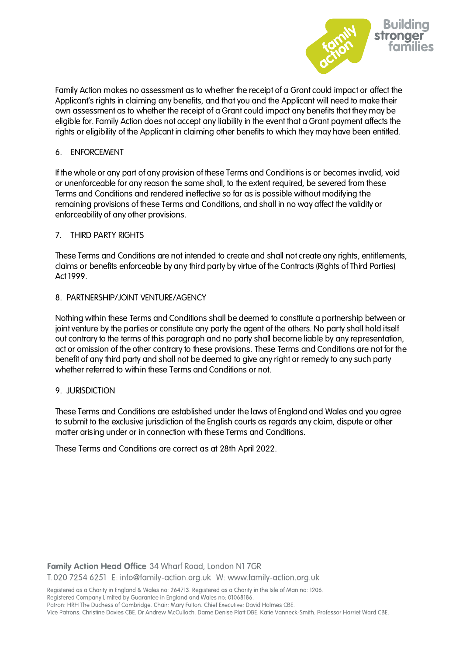

Family Action makes no assessment as to whether the receipt of a Grant could impact or affect the Applicant's rights in claiming any benefits, and that you and the Applicant will need to make their own assessment as to whether the receipt of a Grant could impact any benefits that they may be eligible for. Family Action does not accept any liability in the event that a Grant payment affects the rights or eligibility of the Applicant in claiming other benefits to which they may have been entitled.

# 6. ENFORCEMENT

If the whole or any part of any provision of these Terms and Conditions is or becomes invalid, void or unenforceable for any reason the same shall, to the extent required, be severed from these Terms and Conditions and rendered ineffective so far as is possible without modifying the remaining provisions of these Terms and Conditions, and shall in no way affect the validity or enforceability of any other provisions.

# 7. THIRD PARTY RIGHTS

These Terms and Conditions are not intended to create and shall not create any rights, entitlements, claims or benefits enforceable by any third party by virtue of the Contracts (Rights of Third Parties) Act 1999.

# 8. PARTNERSHIP/JOINT VENTURE/AGENCY

Nothing within these Terms and Conditions shall be deemed to constitute a partnership between or joint venture by the parties or constitute any party the agent of the others. No party shall hold itself out contrary to the terms of this paragraph and no party shall become liable by any representation, act or omission of the other contrary to these provisions. These Terms and Conditions are not for the benefit of any third party and shall not be deemed to give any right or remedy to any such party whether referred to within these Terms and Conditions or not.

#### 9. JURISDICTION

These Terms and Conditions are established under the laws of England and Wales and you agree to submit to the exclusive jurisdiction of the English courts as regards any claim, dispute or other matter arising under or in connection with these Terms and Conditions.

# These Terms and Conditions are correct as at 28th April 2022.

Family Action Head Office 34 Wharf Road, London N1 7GR

T: 020 7254 6251 E: info@family-action.org.uk W: www.family-action.org.uk

Registered as a Charity in England & Wales no: 264713. Registered as a Charity in the Isle of Man no: 1206. Registered Company Limited by Guarantee in England and Wales no: 01068186.

Patron: HRH The Duchess of Cambridge. Chair: Mary Fulton. Chief Executive: David Holmes CBE.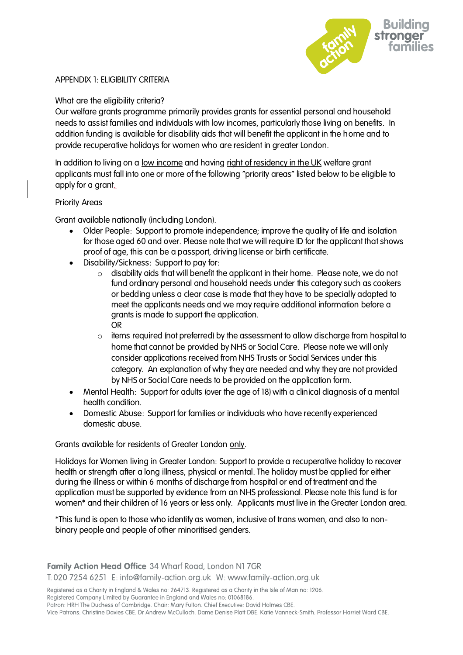

# APPENDIX 1: ELIGIBILITY CRITERIA

# What are the eligibility criteria?

Our welfare grants programme primarily provides grants for essential personal and household needs to assist families and individuals with low incomes, particularly those living on benefits. In addition funding is available for disability aids that will benefit the applicant in the home and to provide recuperative holidays for women who are resident in greater London.

In addition to living on a low income and having right of residency in the UK welfare grant applicants must fall into one or more of the following "priority areas" listed below to be eligible to apply for a grant.

# Priority Areas

Grant available nationally (including London).

- Older People: Support to promote independence; improve the quality of life and isolation for those aged 60 and over. Please note that we will require ID for the applicant that shows proof of age, this can be a passport, driving license or birth certificate.
- Disability/Sickness: Support to pay for:
	- $\circ$  disability aids that will benefit the applicant in their home. Please note, we do not fund ordinary personal and household needs under this category such as cookers or bedding unless a clear case is made that they have to be specially adapted to meet the applicants needs and we may require additional information before a grants is made to support the application. OR
	- $\circ$  items required (not preferred) by the assessment to allow discharge from hospital to home that cannot be provided by NHS or Social Care. Please note we will only consider applications received from NHS Trusts or Social Services under this category. An explanation of why they are needed and why they are not provided by NHS or Social Care needs to be provided on the application form.
- Mental Health: Support for adults (over the age of 18) with a clinical diagnosis of a mental health condition.
- Domestic Abuse: Support for families or individuals who have recently experienced domestic abuse.

Grants available for residents of Greater London only.

Holidays for Women living in Greater London: Support to provide a recuperative holiday to recover health or strength after a long illness, physical or mental. The holiday must be applied for either during the illness or within 6 months of discharge from hospital or end of treatment and the application must be supported by evidence from an NHS professional. Please note this fund is for women\* and their children of 16 years or less only. Applicants must live in the Greater London area.

\*This fund is open to those who identify as women, inclusive of trans women, and also to nonbinary people and people of other minoritised genders.

Family Action Head Office 34 Wharf Road, London N1 7GR T: 020 7254 6251 E: info@family-action.org.uk W: www.family-action.org.uk

Registered as a Charity in England & Wales no: 264713. Registered as a Charity in the Isle of Man no: 1206.

Registered Company Limited by Guarantee in England and Wales no: 01068186.

Patron: HRH The Duchess of Cambridge. Chair: Mary Fulton. Chief Executive: David Holmes CBE.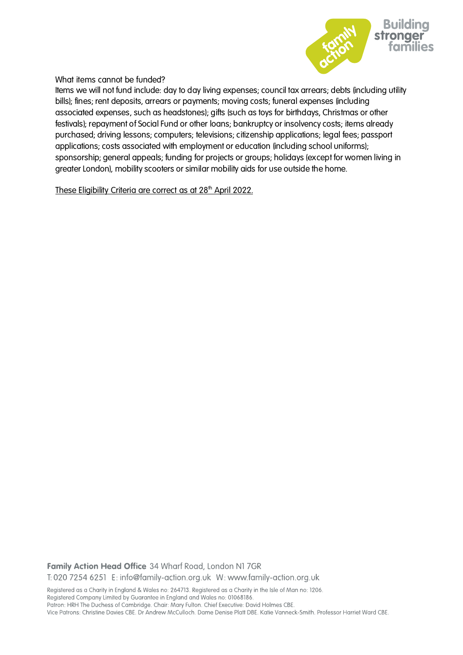

What items cannot be funded?

Items we will not fund include: day to day living expenses; council tax arrears; debts (including utility bills); fines; rent deposits, arrears or payments; moving costs; funeral expenses (including associated expenses, such as headstones); gifts (such as toys for birthdays, Christmas or other festivals); repayment of Social Fund or other loans; bankruptcy or insolvency costs; items already purchased; driving lessons; computers; televisions; citizenship applications; legal fees; passport applications; costs associated with employment or education (including school uniforms); sponsorship; general appeals; funding for projects or groups; holidays (except for women living in greater London), mobility scooters or similar mobility aids for use outside the home.

These Eligibility Criteria are correct as at 28<sup>th</sup> April 2022.

Family Action Head Office 34 Wharf Road, London N1 7GR T: 020 7254 6251 E: info@family-action.org.uk W: www.family-action.org.uk

Registered as a Charity in England & Wales no: 264713. Registered as a Charity in the Isle of Man no: 1206. Registered Company Limited by Guarantee in England and Wales no: 01068186.

Patron: HRH The Duchess of Cambridge. Chair: Mary Fulton. Chief Executive: David Holmes CBE.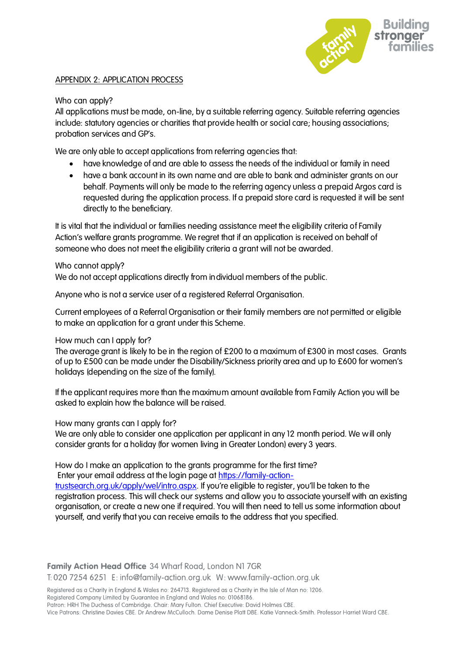

# APPENDIX 2: APPLICATION PROCESS

# Who can apply?

All applications must be made, on-line, by a suitable referring agency. Suitable referring agencies include: statutory agencies or charities that provide health or social care; housing associations; probation services and GP's.

We are only able to accept applications from referring agencies that:

- have knowledge of and are able to assess the needs of the individual or family in need
- have a bank account in its own name and are able to bank and administer grants on our behalf. Payments will only be made to the referring agency unless a prepaid Argos card is requested during the application process. If a prepaid store card is requested it will be sent directly to the beneficiary.

It is vital that the individual or families needing assistance meet the eligibility criteria of Family Action's welfare grants programme. We regret that if an application is received on behalf of someone who does not meet the eligibility criteria a grant will not be awarded.

# Who cannot apply?

We do not accept applications directly from individual members of the public.

Anyone who is not a service user of a registered Referral Organisation.

Current employees of a Referral Organisation or their family members are not permitted or eligible to make an application for a grant under this Scheme.

#### How much can I apply for?

The average grant is likely to be in the region of £200 to a maximum of £300 in most cases. Grants of up to £500 can be made under the Disability/Sickness priority area and up to £600 for women's holidays (depending on the size of the family).

If the applicant requires more than the maximum amount available from Family Action you will be asked to explain how the balance will be raised.

#### How many grants can I apply for?

We are only able to consider one application per applicant in any 12 month period. We will only consider grants for a holiday (for women living in Greater London) every 3 years.

### How do I make an application to the grants programme for the first time? Enter your email address at the login page at [https://family-action-](https://family-action-trustsearch.org.uk/apply/wel/intro.aspx)

[trustsearch.org.uk/apply/wel/intro.aspx](https://family-action-trustsearch.org.uk/apply/wel/intro.aspx). If you're eligible to register, you'll be taken to the registration process. This will check our systems and allow you to associate yourself with an existing organisation, or create a new one if required. You will then need to tell us some information about yourself, and verify that you can receive emails to the address that you specified.

Family Action Head Office 34 Wharf Road, London N1 7GR

T: 020 7254 6251 E: info@family-action.org.uk W: www.family-action.org.uk

Registered as a Charity in England & Wales no: 264713. Registered as a Charity in the Isle of Man no: 1206.

Registered Company Limited by Guarantee in England and Wales no: 01068186.

Patron: HRH The Duchess of Cambridge. Chair: Mary Fulton. Chief Executive: David Holmes CBE.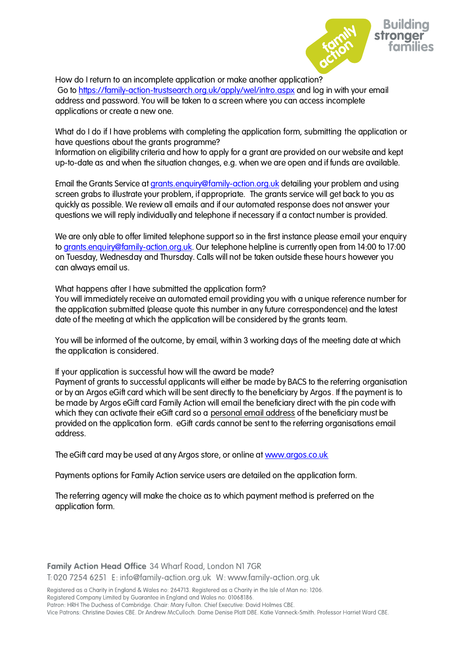

How do I return to an incomplete application or make another application? Go t[o https://family-action-trustsearch.org.uk/apply/wel/intro.aspx](https://family-action-trustsearch.org.uk/apply/wel/agentlogin.aspx) and log in with your email address and password. You will be taken to a screen where you can access incomplete applications or create a new one.

What do I do if I have problems with completing the application form, submitting the application or have questions about the grants programme?

Information on eligibility criteria and how to apply for a grant are provided on our website and kept up-to-date as and when the situation changes, e.g. when we are open and if funds are available.

Email the Grants Service at [grants.enquiry@family-action.org.uk](mailto:grants.enquiry@family-action.org.uk) detailing your problem and using screen grabs to illustrate your problem, if appropriate. The grants service will get back to you as quickly as possible. We review all emails and if our automated response does not answer your questions we will reply individually and telephone if necessary if a contact number is provided.

We are only able to offer limited telephone support so in the first instance please email your enquiry to [grants.enquiry@family-action.org.uk.](mailto:grants.enquiry@family-action.org.uk) Our telephone helpline is currently open from 14:00 to 17:00 on Tuesday, Wednesday and Thursday. Calls will not be taken outside these hours however you can always email us.

What happens after I have submitted the application form?

You will immediately receive an automated email providing you with a unique reference number for the application submitted (please quote this number in any future correspondence) and the latest date of the meeting at which the application will be considered by the grants team.

You will be informed of the outcome, by email, within 3 working days of the meeting date at which the application is considered.

If your application is successful how will the award be made?

Payment of grants to successful applicants will either be made by BACS to the referring organisation or by an Argos eGift card which will be sent directly to the beneficiary by Argos. If the payment is to be made by Argos eGift card Family Action will email the beneficiary direct with the pin code with which they can activate their eGift card so a personal email address of the beneficiary must be provided on the application form. eGift cards cannot be sent to the referring organisations email address.

The eGift card may be used at any Argos store, or online at [www.argos.co.uk](http://www.argos.co.uk/)

Payments options for Family Action service users are detailed on the application form.

The referring agency will make the choice as to which payment method is preferred on the application form.

Family Action Head Office 34 Wharf Road, London N1 7GR T: 020 7254 6251 E: info@family-action.org.uk W: www.family-action.org.uk

Registered as a Charity in England & Wales no: 264713. Registered as a Charity in the Isle of Man no: 1206. Registered Company Limited by Guarantee in England and Wales no: 01068186.

Patron: HRH The Duchess of Cambridge. Chair: Mary Fulton. Chief Executive: David Holmes CBE.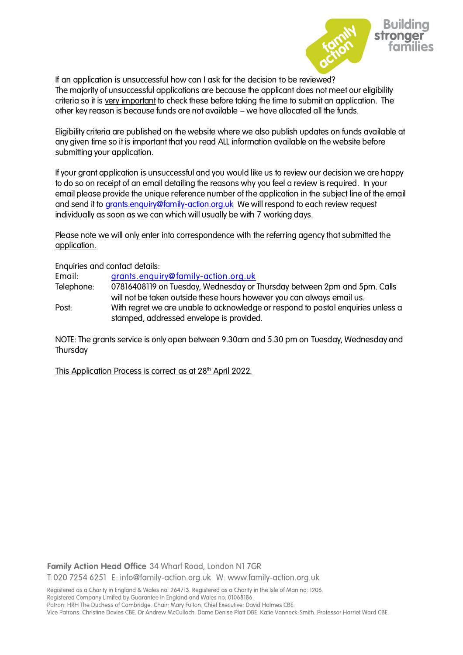

If an application is unsuccessful how can I ask for the decision to be reviewed? The majority of unsuccessful applications are because the applicant does not meet our eligibility criteria so it is very important to check these before taking the time to submit an application. The other key reason is because funds are not available – we have allocated all the funds.

Eligibility criteria are published on the website where we also publish updates on funds available at any given time so it is important that you read ALL information available on the website before submitting your application.

If your grant application is unsuccessful and you would like us to review our decision we are happy to do so on receipt of an email detailing the reasons why you feel a review is required. In your email please provide the unique reference number of the application in the subject line of the email and send it to [grants.enquiry@family-action.org.uk](mailto:grants.enquiry@family-action.org.uk) We will respond to each review request individually as soon as we can which will usually be with 7 working days.

Please note we will only enter into correspondence with the referring agency that submitted the application.

Enquiries and contact details:

Email: [grants.enquiry@family-action.org.uk](mailto:grants.enquiry@family-action.org.uk)

Telephone: 07816408119 on Tuesday, Wednesday or Thursday between 2pm and 5pm. Calls will not be taken outside these hours however you can always email us.

Post: With regret we are unable to acknowledge or respond to postal enquiries unless a stamped, addressed envelope is provided.

NOTE: The grants service is only open between 9.30am and 5.30 pm on Tuesday, Wednesday and **Thursday** 

This Application Process is correct as at 28<sup>th</sup> April 2022.

Family Action Head Office 34 Wharf Road, London N1 7GR T: 020 7254 6251 E: info@family-action.org.uk W: www.family-action.org.uk

Registered as a Charity in England & Wales no: 264713. Registered as a Charity in the Isle of Man no: 1206.

Registered Company Limited by Guarantee in England and Wales no: 01068186.

Patron: HRH The Duchess of Cambridge. Chair: Mary Fulton. Chief Executive: David Holmes CBE. Vice Patrons: Christine Davies CBE. Dr Andrew McCulloch. Dame Denise Platt DBE. Katie Vanneck-Smith. Professor Harriet Ward CBE.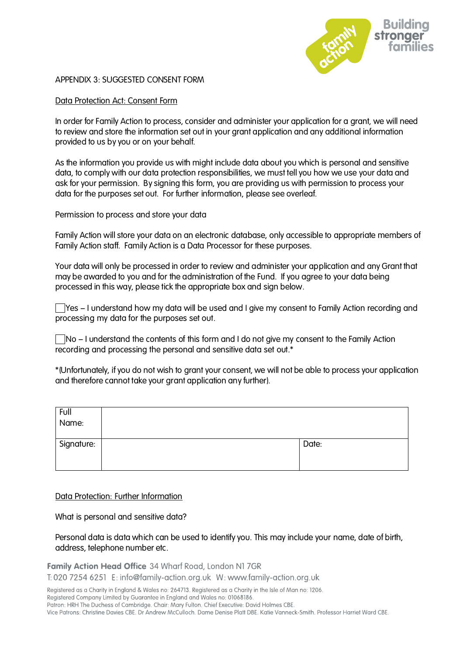

#### APPENDIX 3: SUGGESTED CONSENT FORM

### Data Protection Act: Consent Form

In order for Family Action to process, consider and administer your application for a grant, we will need to review and store the information set out in your grant application and any additional information provided to us by you or on your behalf.

As the information you provide us with might include data about you which is personal and sensitive data, to comply with our data protection responsibilities, we must tell you how we use your data and ask for your permission. By signing this form, you are providing us with permission to process your data for the purposes set out. For further information, please see overleaf.

Permission to process and store your data

Family Action will store your data on an electronic database, only accessible to appropriate members of Family Action staff. Family Action is a Data Processor for these purposes.

Your data will only be processed in order to review and administer your application and any Grant that may be awarded to you and for the administration of the Fund. If you agree to your data being processed in this way, please tick the appropriate box and sign below.

 $\Box$  Yes – I understand how my data will be used and I give my consent to Family Action recording and processing my data for the purposes set out.

 $\Box$ No – I understand the contents of this form and I do not give my consent to the Family Action recording and processing the personal and sensitive data set out.\*

\*(Unfortunately, if you do not wish to grant your consent, we will not be able to process your application and therefore cannot take your grant application any further).

| Full<br>Name: |       |
|---------------|-------|
| Signature:    | Date: |

#### Data Protection: Further Information

What is personal and sensitive data?

Personal data is data which can be used to identify you. This may include your name, date of birth, address, telephone number etc.

Family Action Head Office 34 Wharf Road, London N1 7GR

T: 020 7254 6251 E: info@family-action.org.uk W: www.family-action.org.uk

Registered as a Charity in England & Wales no: 264713. Registered as a Charity in the Isle of Man no: 1206.

Registered Company Limited by Guarantee in England and Wales no: 01068186.

Patron: HRH The Duchess of Cambridge. Chair: Mary Fulton. Chief Executive: David Holmes CBE.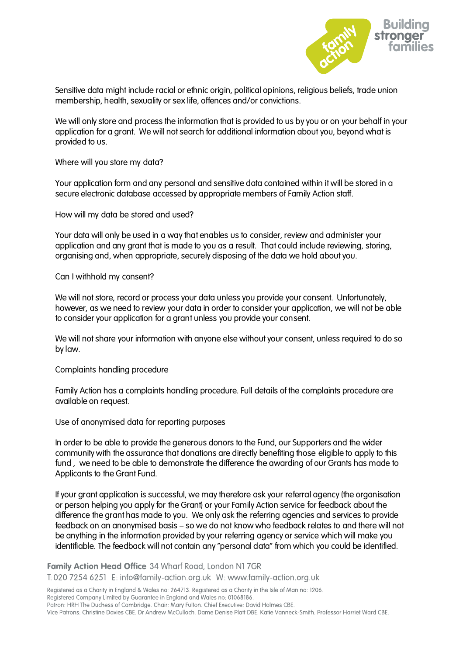

Sensitive data might include racial or ethnic origin, political opinions, religious beliefs, trade union membership, health, sexuality or sex life, offences and/or convictions.

We will only store and process the information that is provided to us by you or on your behalf in your application for a grant. We will not search for additional information about you, beyond what is provided to us.

Where will you store my data?

Your application form and any personal and sensitive data contained within it will be stored in a secure electronic database accessed by appropriate members of Family Action staff.

How will my data be stored and used?

Your data will only be used in a way that enables us to consider, review and administer your application and any grant that is made to you as a result. That could include reviewing, storing, organising and, when appropriate, securely disposing of the data we hold about you.

Can I withhold my consent?

We will not store, record or process your data unless you provide your consent. Unfortunately, however, as we need to review your data in order to consider your application, we will not be able to consider your application for a grant unless you provide your consent.

We will not share your information with anyone else without your consent, unless required to do so by law.

Complaints handling procedure

Family Action has a complaints handling procedure. Full details of the complaints procedure are available on request.

Use of anonymised data for reporting purposes

In order to be able to provide the generous donors to the Fund, our Supporters and the wider community with the assurance that donations are directly benefiting those eligible to apply to this fund , we need to be able to demonstrate the difference the awarding of our Grants has made to Applicants to the Grant Fund.

If your grant application is successful, we may therefore ask your referral agency (the organisation or person helping you apply for the Grant) or your Family Action service for feedback about the difference the grant has made to you. We only ask the referring agencies and services to provide feedback on an anonymised basis – so we do not know who feedback relates to and there will not be anything in the information provided by your referring agency or service which will make you identifiable. The feedback will not contain any "personal data" from which you could be identified.

Family Action Head Office 34 Wharf Road, London N1 7GR T: 020 7254 6251 E: info@family-action.org.uk W: www.family-action.org.uk

Registered as a Charity in England & Wales no: 264713. Registered as a Charity in the Isle of Man no: 1206.

Registered Company Limited by Guarantee in England and Wales no: 01068186.

Patron: HRH The Duchess of Cambridge. Chair: Mary Fulton. Chief Executive: David Holmes CBE.